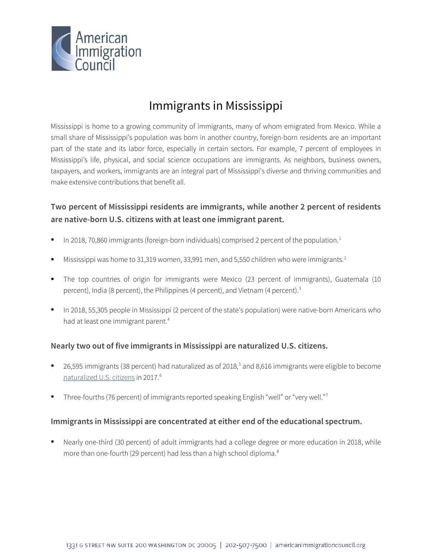

# Immigrants in Mississippi

Mississippi is home to a growing community of immigrants, many of whom emigrated from Mexico. While a small share of Mississippi's population was born in another country, foreign-born residents are an important part of the state and its labor force, especially in certain sectors. For example, 7 percent of employees in Mississippi's life, physical, and social science occupations are immigrants. As neighbors, business owners, taxpayers, and workers, immigrants are an integral part of Mississippi's diverse and thriving communities and make extensive contributions that benefit all.

# **Two percent of Mississippi residents are immigrants, while another 2 percent of residents are native-born U.S. citizens with at least one immigrant parent.**

- In 2018, 70,860 immigrants (foreign-born individuals) comprised 2 percent of the population.<sup>1</sup>
- Mississippi was home to 31,319 women, 33,991 men, and 5,550 children who were immigrants.<sup>[2](#page-4-1)</sup>
- The top countries of origin for immigrants were Mexico (23 percent of immigrants), Guatemala (10 percent), India (8 percent), the Philippines (4 percent), and Vietnam (4 percent).<sup>[3](#page-4-2)</sup>
- In 2018, 55,305 people in Mississippi (2 percent of the state's population) were native-born Americans who had at least one immigrant parent.<sup>4</sup>

## **Nearly two out of five immigrants in Mississippi are naturalized U.S. citizens.**

- 26,[5](#page-4-4)95 immigrants (38 percent) had naturalized as of 2018,<sup>5</sup> and 8,616 immigrants were eligible to become [naturalized U.S. citizens](http://data.cmsny.org/state.html) in 2017.<sup>[6](#page-4-5)</sup>
- Three-fourths (76 percent) of immigrants reported speaking English "well" or "very well."[7](#page-4-6)

## **Immigrants in Mississippi are concentrated at either end of the educational spectrum.**

 Nearly one-third (30 percent) of adult immigrants had a college degree or more education in 2018, while more than one-fourth (29 percent) had less than a high school diploma.<sup>[8](#page-4-7)</sup>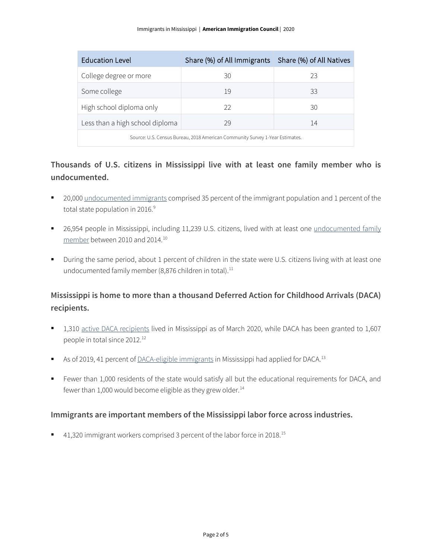| <b>Education Level</b>                                                       | Share (%) of All Immigrants   Share (%) of All Natives |    |  |
|------------------------------------------------------------------------------|--------------------------------------------------------|----|--|
| College degree or more                                                       | 30                                                     | 23 |  |
| Some college                                                                 | 19                                                     | 33 |  |
| High school diploma only                                                     | 22                                                     | 30 |  |
| Less than a high school diploma                                              | 29                                                     | 14 |  |
| Source: U.S. Census Bureau, 2018 American Community Survey 1-Year Estimates. |                                                        |    |  |

# **Thousands of U.S. citizens in Mississippi live with at least one family member who is undocumented.**

- 20,000 [undocumented immigrants](http://www.pewhispanic.org/interactives/unauthorized-immigrants/) comprised 35 percent of the immigrant population and 1 percent of the total state population in 2016.<sup>[9](#page-4-8)</sup>
- 26,954 people in Mississippi, including 11,239 U.S. citizens, lived with at least one undocumented family [member](https://www.americanprogress.org/issues/immigration/news/2017/03/16/427868/state-state-estimates-family-members-unauthorized-immigrants/) between 2010 and 2014.[10](#page-4-9)
- During the same period, about 1 percent of children in the state were U.S. citizens living with at least one undocumented family member (8,876 children in total).<sup>[11](#page-4-10)</sup>

# **Mississippi is home to more than a thousand Deferred Action for Childhood Arrivals (DACA) recipients.**

- 1,310 [active DACA recipients](https://www.uscis.gov/sites/default/files/document/data/Approximate%20Active%20DACA%20Receipts%20-%20March%2031%2C%202020.pdf) lived in Mississippi as of March 2020, while DACA has been granted to 1,607 people in total since 20[12](#page-4-11).<sup>12</sup>
- As of 2019, 41 percent o[f DACA-eligible immigrants](http://www.migrationpolicy.org/programs/data-hub/deferred-action-childhood-arrivals-daca-profiles) in Mississippi had applied for DACA.<sup>13</sup>
- Fewer than 1,000 residents of the state would satisfy all but the educational requirements for DACA, and fewer than 1,000 would become eligible as they grew older. $14$

## **Immigrants are important members of the Mississippi labor force across industries.**

■ 41,320 immigrant workers comprised 3 percent of the labor force in 2018.<sup>[15](#page-4-14)</sup>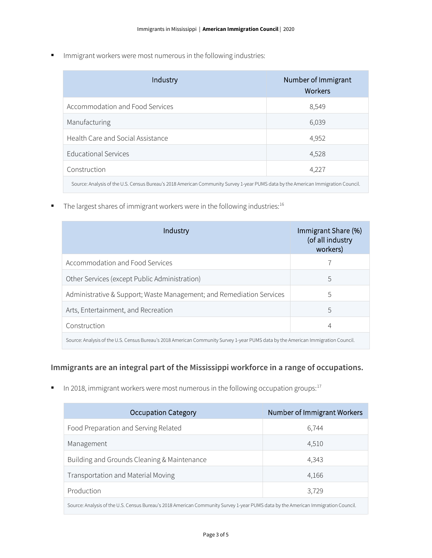**IMMI** Immigrant workers were most numerous in the following industries:

| Industry                                                                                                                          | Number of Immigrant<br>Workers |  |
|-----------------------------------------------------------------------------------------------------------------------------------|--------------------------------|--|
| Accommodation and Food Services                                                                                                   | 8,549                          |  |
| Manufacturing                                                                                                                     | 6,039                          |  |
| Health Care and Social Assistance                                                                                                 | 4,952                          |  |
| <b>Educational Services</b>                                                                                                       | 4,528                          |  |
| Construction                                                                                                                      | 4,227                          |  |
| Source: Analysis of the U.S. Census Bureau's 2018 American Community Survey 1-year PUMS data by the American Immigration Council. |                                |  |

 $\blacksquare$  The largest shares of immigrant workers were in the following industries:  $^{16}$ 

| Industry                                                                                                                          | Immigrant Share (%)<br>(of all industry<br>workers) |  |
|-----------------------------------------------------------------------------------------------------------------------------------|-----------------------------------------------------|--|
| Accommodation and Food Services                                                                                                   |                                                     |  |
| Other Services (except Public Administration)                                                                                     | 5                                                   |  |
| Administrative & Support; Waste Management; and Remediation Services                                                              | 5                                                   |  |
| Arts, Entertainment, and Recreation                                                                                               | 5                                                   |  |
| Construction                                                                                                                      | 4                                                   |  |
| Source: Analysis of the U.S. Census Bureau's 2018 American Community Survey 1-year PUMS data by the American Immigration Council. |                                                     |  |

# **Immigrants are an integral part of the Mississippi workforce in a range of occupations.**

In 2018, immigrant workers were most numerous in the following occupation groups: $17$ 

| <b>Occupation Category</b>                                                                                                        | Number of Immigrant Workers |  |
|-----------------------------------------------------------------------------------------------------------------------------------|-----------------------------|--|
| Food Preparation and Serving Related                                                                                              | 6,744                       |  |
| Management                                                                                                                        | 4,510                       |  |
| Building and Grounds Cleaning & Maintenance                                                                                       | 4,343                       |  |
| Transportation and Material Moving                                                                                                | 4,166                       |  |
| Production                                                                                                                        | 3,729                       |  |
| Source: Analysis of the U.S. Census Bureau's 2018 American Community Survey 1-year PUMS data by the American Immigration Council. |                             |  |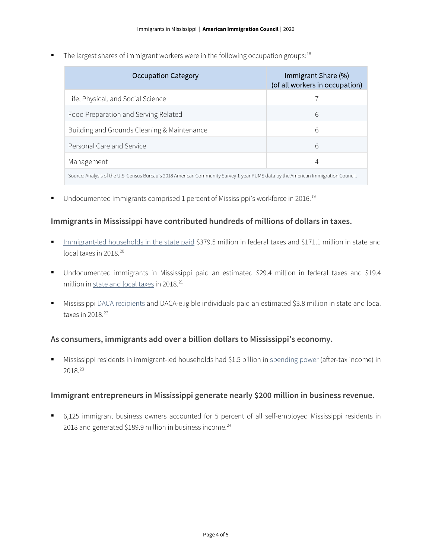The largest shares of immigrant workers were in the following occupation groups:  $18$ 

| <b>Occupation Category</b>                                                                                                        | Immigrant Share (%)<br>(of all workers in occupation) |  |
|-----------------------------------------------------------------------------------------------------------------------------------|-------------------------------------------------------|--|
| Life, Physical, and Social Science                                                                                                |                                                       |  |
| Food Preparation and Serving Related                                                                                              | 6                                                     |  |
| Building and Grounds Cleaning & Maintenance                                                                                       | 6                                                     |  |
| Personal Care and Service                                                                                                         | 6                                                     |  |
| Management                                                                                                                        | 4                                                     |  |
| Source: Analysis of the U.S. Census Bureau's 2018 American Community Survey 1-year PUMS data by the American Immigration Council. |                                                       |  |

■ Undocumented immigrants comprised 1 percent of Mississippi's workforce in 2016.<sup>[19](#page-4-18)</sup>

#### **Immigrants in Mississippi have contributed hundreds of millions of dollars in taxes.**

- [Immigrant-led households in the state paid](https://www.newamericaneconomy.org/locations/) \$379.5 million in federal taxes and \$171.1 million in state and local taxes in [20](#page-4-19)18.<sup>20</sup>
- Undocumented immigrants in Mississippi paid an estimated \$29.4 million in federal taxes and \$19.4 million i[n state and local taxes](https://www.newamericaneconomy.org/locations/) in 2018.<sup>[21](#page-4-20)</sup>
- Mississippi [DACA recipients](https://itep.org/state-local-tax-contributions-of-young-undocumented-immigrants/) and DACA-eligible individuals paid an estimated \$3.8 million in state and local taxes in  $2018.<sup>22</sup>$  $2018.<sup>22</sup>$  $2018.<sup>22</sup>$

#### **As consumers, immigrants add over a billion dollars to Mississippi's economy.**

 Mississippi residents in immigrant-led households had \$1.5 billion in [spending power](https://www.newamericaneconomy.org/locations/) (after-tax income) in 2018.[23](#page-4-22)

#### **Immigrant entrepreneurs in Mississippi generate nearly \$200 million in business revenue.**

 6,125 immigrant business owners accounted for 5 percent of all self-employed Mississippi residents in 2018 and generated \$189.9 million in business income. $^{24}$  $^{24}$  $^{24}$